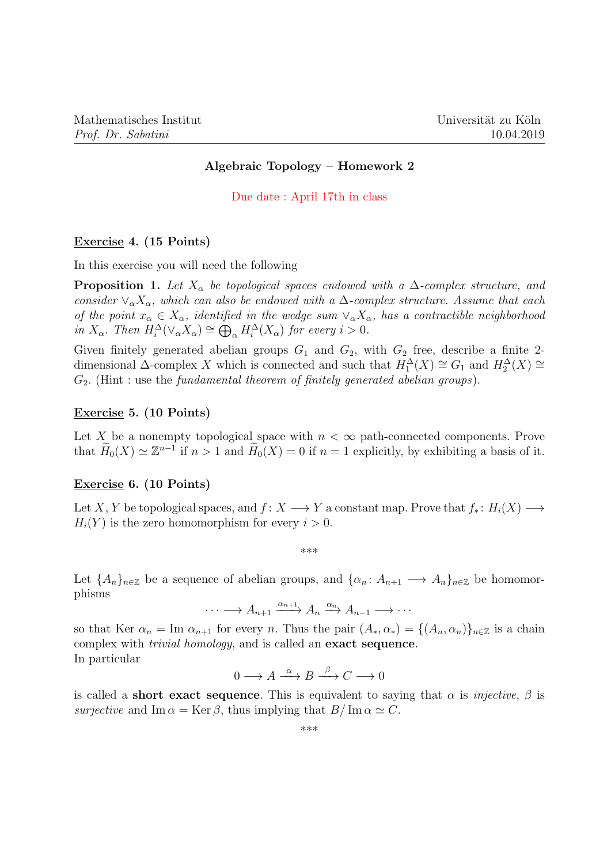## Algebraic Topology – Homework 2

Due date : April 17th in class

#### Exercise 4. (15 Points)

In this exercise you will need the following

**Proposition 1.** Let  $X_{\alpha}$  be topological spaces endowed with a  $\Delta$ -complex structure, and consider  $\vee_{\alpha} X_{\alpha}$ , which can also be endowed with a  $\Delta$ -complex structure. Assume that each of the point  $x_\alpha \in X_\alpha$ , identified in the wedge sum  $\vee_\alpha X_\alpha$ , has a contractible neighborhood in  $X_{\alpha}$ . Then  $H_i^{\Delta}(\vee_{\alpha} X_{\alpha}) \cong \bigoplus_{\alpha} H_i^{\Delta}(X_{\alpha})$  for every  $i > 0$ .

Given finitely generated abelian groups  $G_1$  and  $G_2$ , with  $G_2$  free, describe a finite 2dimensional  $\Delta$ -complex X which is connected and such that  $H_1^{\Delta}(X) \cong G_1$  and  $H_2^{\Delta}(X) \cong$  $G_2$ . (Hint : use the *fundamental theorem of finitely generated abelian groups*).

# Exercise 5. (10 Points)

Let X be a nonempty topological space with  $n < \infty$  path-connected components. Prove that  $\widetilde{H}_0(X) \simeq \mathbb{Z}^{n-1}$  if  $n > 1$  and  $\widetilde{H}_0(X) = 0$  if  $n = 1$  explicitly, by exhibiting a basis of it.

## Exercise 6. (10 Points)

Let X, Y be topological spaces, and  $f: X \longrightarrow Y$  a constant map. Prove that  $f_* : H_i(X) \longrightarrow$  $H_i(Y)$  is the zero homomorphism for every  $i > 0$ .

\*\*\*

Let  $\{A_n\}_{n\in\mathbb{Z}}$  be a sequence of abelian groups, and  $\{\alpha_n: A_{n+1}\longrightarrow A_n\}_{n\in\mathbb{Z}}$  be homomorphisms

$$
\cdots \longrightarrow A_{n+1} \xrightarrow{\alpha_{n+1}} A_n \xrightarrow{\alpha_n} A_{n-1} \longrightarrow \cdots
$$

so that Ker  $\alpha_n = \text{Im } \alpha_{n+1}$  for every n. Thus the pair  $(A_*, \alpha_*) = \{(A_n, \alpha_n)\}_{n \in \mathbb{Z}}$  is a chain complex with trivial homology, and is called an exact sequence. In particular

$$
0 \longrightarrow A \xrightarrow{\alpha} B \xrightarrow{\beta} C \longrightarrow 0
$$

is called a **short exact sequence**. This is equivalent to saying that  $\alpha$  is *injective*,  $\beta$  is surjective and Im  $\alpha = \text{Ker }\beta$ , thus implying that  $B/\text{Im }\alpha \simeq C$ .